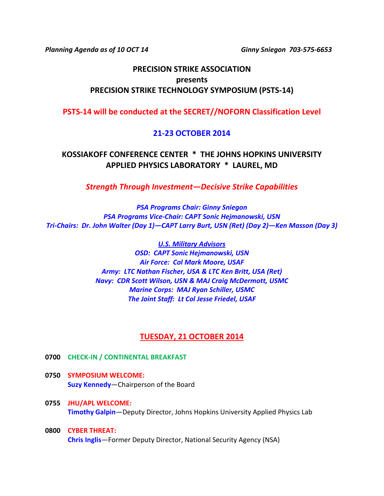*Planning Agenda as of 10 OCT 14 Ginny Sniegon 703-575-6653*

# **PRECISION STRIKE ASSOCIATION presents PRECISION STRIKE TECHNOLOGY SYMPOSIUM (PSTS-14)**

**PSTS-14 will be conducted at the SECRET//NOFORN Classification Level**

## **21-23 OCTOBER 2014**

**KOSSIAKOFF CONFERENCE CENTER \* THE JOHNS HOPKINS UNIVERSITY APPLIED PHYSICS LABORATORY \* LAUREL, MD**

*Strength Through Investment—Decisive Strike Capabilities*

*PSA Programs Chair: Ginny Sniegon PSA Programs Vice-Chair: CAPT Sonic Hejmanowski, USN Tri-Chairs: Dr. John Walter (Day 1)—CAPT Larry Burt, USN (Ret) (Day 2)—Ken Masson (Day 3)*

> *U.S. Military Advisors OSD: CAPT Sonic Hejmanowski, USN Air Force: Col Mark Moore, USAF Army: LTC Nathan Fischer, USA & LTC Ken Britt, USA (Ret) Navy: CDR Scott Wilson, USN & MAJ Craig McDermott, USMC Marine Corps: MAJ Ryan Schiller, USMC The Joint Staff: Lt Col Jesse Friedel, USAF*

## **TUESDAY, 21 OCTOBER 2014**

- **0700 CHECK-IN / CONTINENTAL BREAKFAST**
- **0750 SYMPOSIUM WELCOME: Suzy Kennedy**—Chairperson of the Board
- **0755 JHU/APL WELCOME: Timothy Galpin**—Deputy Director, Johns Hopkins University Applied Physics Lab
- **0800 CYBER THREAT: Chris Inglis**—Former Deputy Director, National Security Agency (NSA)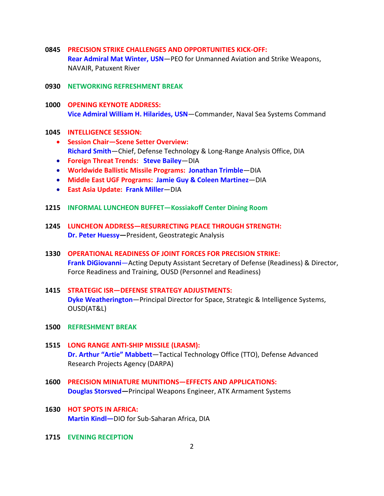- **0845 PRECISION STRIKE CHALLENGES AND OPPORTUNITIES KICK-OFF: Rear Admiral Mat Winter, USN**—PEO for Unmanned Aviation and Strike Weapons, NAVAIR, Patuxent River
- **0930 NETWORKING REFRESHMENT BREAK**
- **1000 OPENING KEYNOTE ADDRESS: Vice Admiral William H. Hilarides, USN**—Commander, Naval Sea Systems Command
- **1045 INTELLIGENCE SESSION:**
	- **Session Chair—Scene Setter Overview: Richard Smith**—Chief, Defense Technology & Long-Range Analysis Office, DIA
	- **Foreign Threat Trends: Steve Bailey**—DIA
	- **Worldwide Ballistic Missile Programs: Jonathan Trimble**—DIA
	- **Middle East UGF Programs: Jamie Guy & Coleen Martinez**—DIA
	- **East Asia Update: Frank Miller**—DIA
- **1215 INFORMAL LUNCHEON BUFFET—Kossiakoff Center Dining Room**
- **1245 LUNCHEON ADDRESS—RESURRECTING PEACE THROUGH STRENGTH: Dr. Peter Huessy—**President, Geostrategic Analysis
- **1330 OPERATIONAL READINESS OF JOINT FORCES FOR PRECISION STRIKE: Frank DiGiovanni**—Acting Deputy Assistant Secretary of Defense (Readiness) & Director, Force Readiness and Training, OUSD (Personnel and Readiness)
- **1415 STRATEGIC ISR—DEFENSE STRATEGY ADJUSTMENTS: Dyke Weatherington**—Principal Director for Space, Strategic & Intelligence Systems, OUSD(AT&L)
- **1500 REFRESHMENT BREAK**
- **1515 LONG RANGE ANTI-SHIP MISSILE (LRASM): Dr. Arthur "Artie" Mabbett**—Tactical Technology Office (TTO), Defense Advanced Research Projects Agency (DARPA)
- **1600 PRECISION MINIATURE MUNITIONS—EFFECTS AND APPLICATIONS: Douglas Storsved***—*Principal Weapons Engineer, ATK Armament Systems
- **1630 HOT SPOTS IN AFRICA: Martin Kindl—**DIO for Sub-Saharan Africa, DIA
- **1715 EVENING RECEPTION**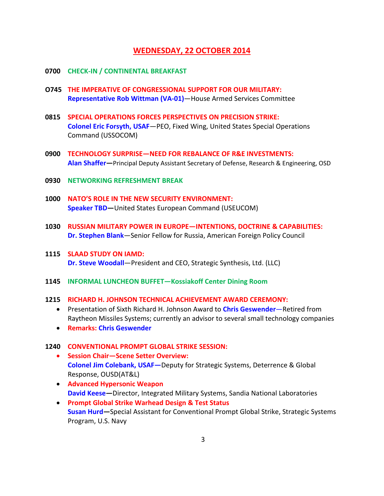## **WEDNESDAY, 22 OCTOBER 2014**

- **0700 CHECK-IN / CONTINENTAL BREAKFAST**
- **O745 THE IMPERATIVE OF CONGRESSIONAL SUPPORT FOR OUR MILITARY: Representative Rob Wittman (VA-01)**—House Armed Services Committee
- **0815 SPECIAL OPERATIONS FORCES PERSPECTIVES ON PRECISION STRIKE: Colonel Eric Forsyth, USAF**—PEO, Fixed Wing, United States Special Operations Command (USSOCOM)
- **0900 TECHNOLOGY SURPRISE—NEED FOR REBALANCE OF R&E INVESTMENTS: Alan Shaffer—**Principal Deputy Assistant Secretary of Defense, Research & Engineering, OSD
- **0930 NETWORKING REFRESHMENT BREAK**
- **1000 NATO'S ROLE IN THE NEW SECURITY ENVIRONMENT: Speaker TBD—**United States European Command (USEUCOM)
- **1030 RUSSIAN MILITARY POWER IN EUROPE—INTENTIONS, DOCTRINE & CAPABILITIES: Dr. Stephen Blank**—Senior Fellow for Russia, American Foreign Policy Council
- **1115 SLAAD STUDY ON IAMD: Dr. Steve Woodall**—President and CEO, Strategic Synthesis, Ltd. (LLC)
- **1145 INFORMAL LUNCHEON BUFFET—Kossiakoff Center Dining Room**
- **1215 RICHARD H. JOHNSON TECHNICAL ACHIEVEMENT AWARD CEREMONY:**
	- Presentation of Sixth Richard H. Johnson Award to **Chris Geswender**—Retired from Raytheon Missiles Systems; currently an advisor to several small technology companies
	- **Remarks: Chris Geswender**

#### **1240 CONVENTIONAL PROMPT GLOBAL STRIKE SESSION:**

- **Session Chair—Scene Setter Overview: Colonel Jim Colebank, USAF—**Deputy for Strategic Systems, Deterrence & Global Response, OUSD(AT&L)
- **Advanced Hypersonic Weapon David Keese—**Director, Integrated Military Systems, Sandia National Laboratories
- **Prompt Global Strike Warhead Design & Test Status Susan Hurd—**Special Assistant for Conventional Prompt Global Strike, Strategic Systems Program, U.S. Navy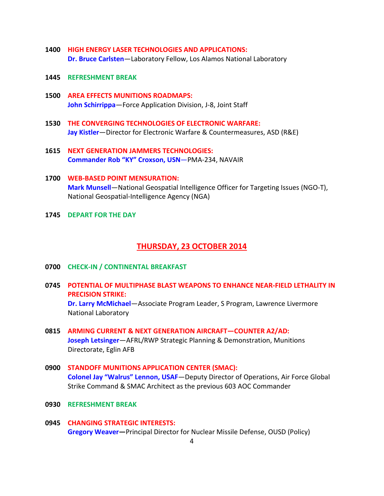- **1400 HIGH ENERGY LASER TECHNOLOGIES AND APPLICATIONS: Dr. Bruce Carlsten**—Laboratory Fellow, Los Alamos National Laboratory
- **1445 REFRESHMENT BREAK**
- **1500 AREA EFFECTS MUNITIONS ROADMAPS: John Schirrippa**—Force Application Division, J-8, Joint Staff
- **1530 THE CONVERGING TECHNOLOGIES OF ELECTRONIC WARFARE: Jay Kistler**—Director for Electronic Warfare & Countermeasures, ASD (R&E)
- **1615 NEXT GENERATION JAMMERS TECHNOLOGIES: Commander Rob "KY" Croxson, USN**—PMA-234, NAVAIR
- **1700 WEB-BASED POINT MENSURATION: Mark Munsell**—National Geospatial Intelligence Officer for Targeting Issues (NGO-T), National Geospatial-Intelligence Agency (NGA)
- **1745 DEPART FOR THE DAY**

### **THURSDAY, 23 OCTOBER 2014**

- **0700 CHECK-IN / CONTINENTAL BREAKFAST**
- **0745 POTENTIAL OF MULTIPHASE BLAST WEAPONS TO ENHANCE NEAR-FIELD LETHALITY IN PRECISION STRIKE: Dr. Larry McMichael**—Associate Program Leader, S Program, Lawrence Livermore National Laboratory
- **0815 ARMING CURRENT & NEXT GENERATION AIRCRAFT—COUNTER A2/AD: Joseph Letsinger**—AFRL/RWP Strategic Planning & Demonstration, Munitions Directorate, Eglin AFB
- **0900 STANDOFF MUNITIONS APPLICATION CENTER (SMAC): Colonel Jay "Walrus" Lennon, USAF**—Deputy Director of Operations, Air Force Global Strike Command & SMAC Architect as the previous 603 AOC Commander
- **0930 REFRESHMENT BREAK**
- **0945 CHANGING STRATEGIC INTERESTS: Gregory Weaver—**Principal Director for Nuclear Missile Defense, OUSD (Policy)